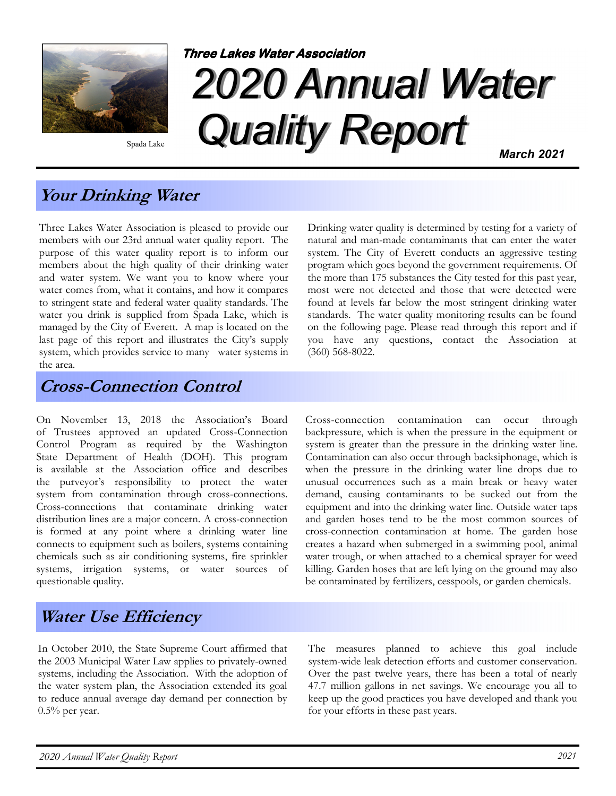

Spada Lake

# 2020 Annual Water Quality Report **Three Lakes Water Association** March 2021

Your Drinking Water

Three Lakes Water Association is pleased to provide our members with our 23rd annual water quality report. The purpose of this water quality report is to inform our members about the high quality of their drinking water and water system. We want you to know where your water comes from, what it contains, and how it compares to stringent state and federal water quality standards. The water you drink is supplied from Spada Lake, which is managed by the City of Everett. A map is located on the last page of this report and illustrates the City's supply system, which provides service to many water systems in the area.

Cross-Connection Control

On November 13, 2018 the Association's Board of Trustees approved an updated Cross-Connection Control Program as required by the Washington State Department of Health (DOH). This program is available at the Association office and describes the purveyor's responsibility to protect the water system from contamination through cross-connections. Cross-connections that contaminate drinking water distribution lines are a major concern. A cross-connection is formed at any point where a drinking water line connects to equipment such as boilers, systems containing chemicals such as air conditioning systems, fire sprinkler systems, irrigation systems, or water sources of questionable quality.

Drinking water quality is determined by testing for a variety of natural and man-made contaminants that can enter the water system. The City of Everett conducts an aggressive testing program which goes beyond the government requirements. Of the more than 175 substances the City tested for this past year, most were not detected and those that were detected were found at levels far below the most stringent drinking water standards. The water quality monitoring results can be found on the following page. Please read through this report and if you have any questions, contact the Association at (360) 568-8022.

Cross-connection contamination can occur through backpressure, which is when the pressure in the equipment or system is greater than the pressure in the drinking water line. Contamination can also occur through backsiphonage, which is when the pressure in the drinking water line drops due to unusual occurrences such as a main break or heavy water demand, causing contaminants to be sucked out from the equipment and into the drinking water line. Outside water taps and garden hoses tend to be the most common sources of cross-connection contamination at home. The garden hose creates a hazard when submerged in a swimming pool, animal water trough, or when attached to a chemical sprayer for weed killing. Garden hoses that are left lying on the ground may also be contaminated by fertilizers, cesspools, or garden chemicals.

# Water Use Efficiency

In October 2010, the State Supreme Court affirmed that the 2003 Municipal Water Law applies to privately-owned systems, including the Association. With the adoption of the water system plan, the Association extended its goal to reduce annual average day demand per connection by  $0.5\%$  per year.

The measures planned to achieve this goal include system-wide leak detection efforts and customer conservation. Over the past twelve years, there has been a total of nearly 47.7 million gallons in net savings. We encourage you all to keep up the good practices you have developed and thank you for your efforts in these past years.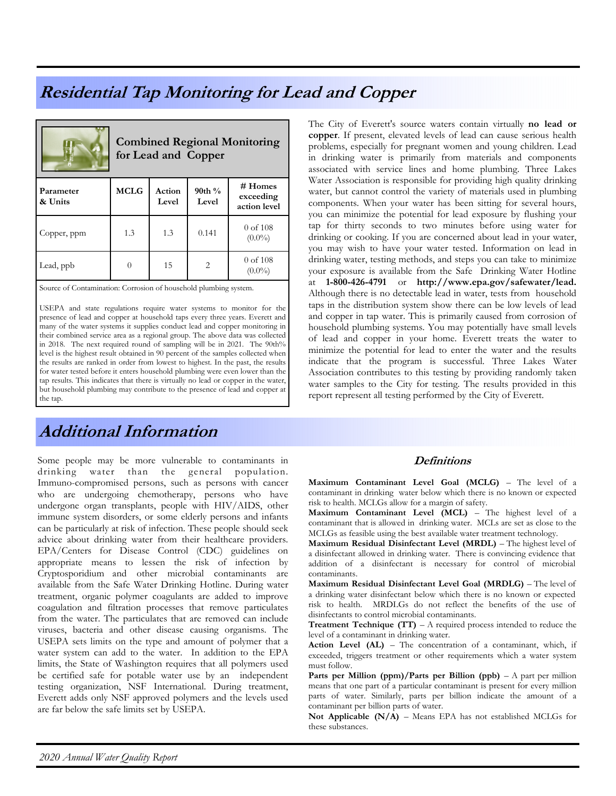## Residential Tap Monitoring for Lead and Copper

|                      | <b>Combined Regional Monitoring</b><br>for Lead and Copper |                 |                    |                                      |  |  |  |  |  |
|----------------------|------------------------------------------------------------|-----------------|--------------------|--------------------------------------|--|--|--|--|--|
| Parameter<br>& Units | <b>MCLG</b>                                                | Action<br>Level | 90th $\%$<br>Level | # Homes<br>exceeding<br>action level |  |  |  |  |  |
| Copper, ppm          | 1.3                                                        | 1.3             | 0.141              | $0$ of $108$<br>$(0.0\%)$            |  |  |  |  |  |
| Lead, ppb            |                                                            | 15              | 2                  | $0$ of $108$<br>$(0.0\%)$            |  |  |  |  |  |

Source of Contamination: Corrosion of household plumbing system.

USEPA and state regulations require water systems to monitor for the presence of lead and copper at household taps every three years. Everett and many of the water systems it supplies conduct lead and copper monitoring in their combined service area as a regional group. The above data was collected in 2018. The next required round of sampling will be in 2021. The 90th% level is the highest result obtained in 90 percent of the samples collected when the results are ranked in order from lowest to highest. In the past, the results for water tested before it enters household plumbing were even lower than the tap results. This indicates that there is virtually no lead or copper in the water, but household plumbing may contribute to the presence of lead and copper at the tap.

# Additional Information

Some people may be more vulnerable to contaminants in drinking water than the general population. Immuno-compromised persons, such as persons with cancer who are undergoing chemotherapy, persons who have undergone organ transplants, people with HIV/AIDS, other immune system disorders, or some elderly persons and infants can be particularly at risk of infection. These people should seek advice about drinking water from their healthcare providers. EPA/Centers for Disease Control (CDC) guidelines on appropriate means to lessen the risk of infection by Cryptosporidium and other microbial contaminants are available from the Safe Water Drinking Hotline. During water treatment, organic polymer coagulants are added to improve coagulation and filtration processes that remove particulates from the water. The particulates that are removed can include viruses, bacteria and other disease causing organisms. The USEPA sets limits on the type and amount of polymer that a water system can add to the water. In addition to the EPA limits, the State of Washington requires that all polymers used be certified safe for potable water use by an independent testing organization, NSF International. During treatment, Everett adds only NSF approved polymers and the levels used are far below the safe limits set by USEPA.

The City of Everett's source waters contain virtually no lead or copper. If present, elevated levels of lead can cause serious health problems, especially for pregnant women and young children. Lead in drinking water is primarily from materials and components associated with service lines and home plumbing. Three Lakes Water Association is responsible for providing high quality drinking water, but cannot control the variety of materials used in plumbing components. When your water has been sitting for several hours, you can minimize the potential for lead exposure by flushing your tap for thirty seconds to two minutes before using water for drinking or cooking. If you are concerned about lead in your water, you may wish to have your water tested. Information on lead in drinking water, testing methods, and steps you can take to minimize your exposure is available from the Safe Drinking Water Hotline at 1-800-426-4791 or http://www.epa.gov/safewater/lead. Although there is no detectable lead in water, tests from household taps in the distribution system show there can be low levels of lead and copper in tap water. This is primarily caused from corrosion of household plumbing systems. You may potentially have small levels of lead and copper in your home. Everett treats the water to minimize the potential for lead to enter the water and the results indicate that the program is successful. Three Lakes Water Association contributes to this testing by providing randomly taken water samples to the City for testing. The results provided in this report represent all testing performed by the City of Everett.

#### **Definitions**

Maximum Contaminant Level Goal (MCLG) – The level of a contaminant in drinking water below which there is no known or expected risk to health. MCLGs allow for a margin of safety.

Maximum Contaminant Level (MCL) – The highest level of a contaminant that is allowed in drinking water. MCLs are set as close to the MCLGs as feasible using the best available water treatment technology.

Maximum Residual Disinfectant Level (MRDL) – The highest level of a disinfectant allowed in drinking water. There is convincing evidence that addition of a disinfectant is necessary for control of microbial contaminants.

Maximum Residual Disinfectant Level Goal (MRDLG) – The level of a drinking water disinfectant below which there is no known or expected risk to health. MRDLGs do not reflect the benefits of the use of disinfectants to control microbial contaminants.

**Treatment Technique (TT)** – A required process intended to reduce the level of a contaminant in drinking water.

Action Level (AL) – The concentration of a contaminant, which, if exceeded, triggers treatment or other requirements which a water system must follow.

Parts per Million (ppm)/Parts per Billion (ppb) –  $A$  part per million means that one part of a particular contaminant is present for every million parts of water. Similarly, parts per billion indicate the amount of a contaminant per billion parts of water.

Not Applicable (N/A) – Means EPA has not established MCLGs for these substances.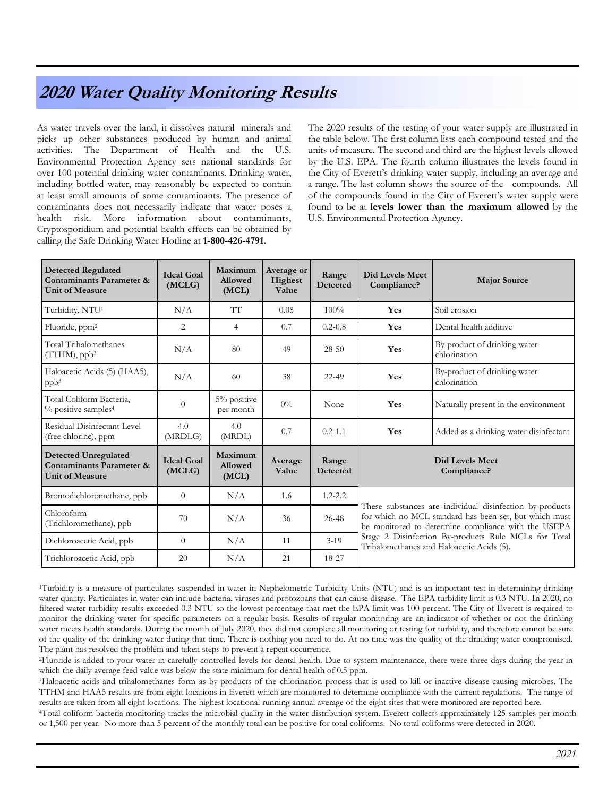### 2020 Water Quality Monitoring Results

As water travels over the land, it dissolves natural minerals and picks up other substances produced by human and animal activities. The Department of Health and the U.S. Environmental Protection Agency sets national standards for over 100 potential drinking water contaminants. Drinking water, including bottled water, may reasonably be expected to contain at least small amounts of some contaminants. The presence of contaminants does not necessarily indicate that water poses a health risk. More information about contaminants, Cryptosporidium and potential health effects can be obtained by calling the Safe Drinking Water Hotline at 1-800-426-4791.

The 2020 results of the testing of your water supply are illustrated in the table below. The first column lists each compound tested and the units of measure. The second and third are the highest levels allowed by the U.S. EPA. The fourth column illustrates the levels found in the City of Everett's drinking water supply, including an average and a range. The last column shows the source of the compounds. All of the compounds found in the City of Everett's water supply were found to be at levels lower than the maximum allowed by the U.S. Environmental Protection Agency.

| <b>Detected Regulated</b><br>Contaminants Parameter &<br><b>Unit of Measure</b>              | <b>Ideal Goal</b><br>(MCLG) | Maximum<br>Allowed<br>(MCL)        | Average or<br>Highest<br>Value | Range<br>Detected | Did Levels Meet<br>Compliance?                                                                                                                                                                                                                                                 | <b>Major Source</b>                          |
|----------------------------------------------------------------------------------------------|-----------------------------|------------------------------------|--------------------------------|-------------------|--------------------------------------------------------------------------------------------------------------------------------------------------------------------------------------------------------------------------------------------------------------------------------|----------------------------------------------|
| Turbidity, NTU <sup>1</sup>                                                                  | N/A                         | TT                                 | 0.08                           | 100%              | Yes                                                                                                                                                                                                                                                                            | Soil erosion                                 |
| Fluoride, ppm <sup>2</sup>                                                                   | 2                           | $\overline{4}$                     | 0.7                            | $0.2 - 0.8$       | Yes                                                                                                                                                                                                                                                                            | Dental health additive                       |
| Total Trihalomethanes<br>$(TTHM)$ , ppb <sup>3</sup>                                         | N/A                         | 80                                 | 49                             | $28 - 50$         | Yes                                                                                                                                                                                                                                                                            | By-product of drinking water<br>chlorination |
| Haloacetic Acids (5) (HAA5),<br>ppb <sup>3</sup>                                             | N/A                         | 60                                 | 38                             | 22-49             | Yes                                                                                                                                                                                                                                                                            | By-product of drinking water<br>chlorination |
| Total Coliform Bacteria,<br>% positive samples <sup>4</sup>                                  | $\theta$                    | 5% positive<br>per month           | $0\%$                          | None              | Yes                                                                                                                                                                                                                                                                            | Naturally present in the environment         |
| Residual Disinfectant Level<br>(free chlorine), ppm                                          | 4.0<br>(MRDLG)              | 4.0<br>(MRDL)                      | 0.7                            | $0.2 - 1.1$       | Yes                                                                                                                                                                                                                                                                            | Added as a drinking water disinfectant       |
| <b>Detected Unregulated</b><br><b>Contaminants Parameter &amp;</b><br><b>Unit of Measure</b> | <b>Ideal Goal</b><br>(MCLG) | Maximum<br><b>Allowed</b><br>(MCL) | Average<br>Value               | Range<br>Detected | Did Levels Meet<br>Compliance?                                                                                                                                                                                                                                                 |                                              |
| Bromodichloromethane, ppb                                                                    | $\Omega$                    | N/A                                | 1.6                            | $1.2 - 2.2$       | These substances are individual disinfection by-products<br>for which no MCL standard has been set, but which must<br>be monitored to determine compliance with the USEPA<br>Stage 2 Disinfection By-products Rule MCLs for Total<br>Trihalomethanes and Haloacetic Acids (5). |                                              |
| Chloroform<br>(Trichloromethane), ppb                                                        | 70                          | N/A                                | 36                             | 26-48             |                                                                                                                                                                                                                                                                                |                                              |
| Dichloroacetic Acid, ppb                                                                     | $\Omega$                    | N/A                                | 11                             | $3-19$            |                                                                                                                                                                                                                                                                                |                                              |
| Trichloroacetic Acid, ppb                                                                    | 20                          | N/A                                | 21                             | 18-27             |                                                                                                                                                                                                                                                                                |                                              |

<sup>1</sup>Turbidity is a measure of particulates suspended in water in Nephelometric Turbidity Units (NTU) and is an important test in determining drinking water quality. Particulates in water can include bacteria, viruses and protozoans that can cause disease. The EPA turbidity limit is 0.3 NTU. In 2020, no filtered water turbidity results exceeded 0.3 NTU so the lowest percentage that met the EPA limit was 100 percent. The City of Everett is required to monitor the drinking water for specific parameters on a regular basis. Results of regular monitoring are an indicator of whether or not the drinking water meets health standards. During the month of July 2020, they did not complete all monitoring or testing for turbidity, and therefore cannot be sure of the quality of the drinking water during that time. There is nothing you need to do. At no time was the quality of the drinking water compromised. The plant has resolved the problem and taken steps to prevent a repeat occurrence.

<sup>2</sup>Fluoride is added to your water in carefully controlled levels for dental health. Due to system maintenance, there were three days during the year in which the daily average feed value was below the state minimum for dental health of 0.5 ppm.

<sup>3</sup>Haloacetic acids and trihalomethanes form as by-products of the chlorination process that is used to kill or inactive disease-causing microbes. The TTHM and HAA5 results are from eight locations in Everett which are monitored to determine compliance with the current regulations. The range of results are taken from all eight locations. The highest locational running annual average of the eight sites that were monitored are reported here.

<sup>4</sup>Total coliform bacteria monitoring tracks the microbial quality in the water distribution system. Everett collects approximately 125 samples per month or 1,500 per year. No more than 5 percent of the monthly total can be positive for total coliforms. No total coliforms were detected in 2020.